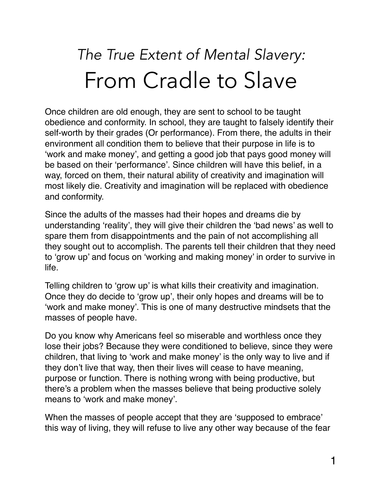## *The True Extent of Mental Slavery:* From Cradle to Slave

Once children are old enough, they are sent to school to be taught obedience and conformity. In school, they are taught to falsely identify their self-worth by their grades (Or performance). From there, the adults in their environment all condition them to believe that their purpose in life is to 'work and make money', and getting a good job that pays good money will be based on their 'performance'. Since children will have this belief, in a way, forced on them, their natural ability of creativity and imagination will most likely die. Creativity and imagination will be replaced with obedience and conformity.

Since the adults of the masses had their hopes and dreams die by understanding 'reality', they will give their children the 'bad news' as well to spare them from disappointments and the pain of not accomplishing all they sought out to accomplish. The parents tell their children that they need to 'grow up' and focus on 'working and making money' in order to survive in life.

Telling children to 'grow up' is what kills their creativity and imagination. Once they do decide to 'grow up', their only hopes and dreams will be to 'work and make money'. This is one of many destructive mindsets that the masses of people have.

Do you know why Americans feel so miserable and worthless once they lose their jobs? Because they were conditioned to believe, since they were children, that living to 'work and make money' is the only way to live and if they don't live that way, then their lives will cease to have meaning, purpose or function. There is nothing wrong with being productive, but there's a problem when the masses believe that being productive solely means to 'work and make money'.

When the masses of people accept that they are 'supposed to embrace' this way of living, they will refuse to live any other way because of the fear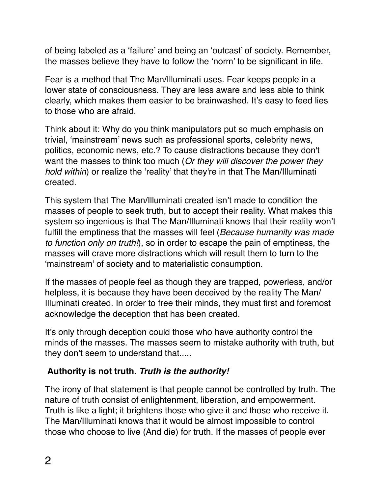of being labeled as a 'failure' and being an 'outcast' of society. Remember, the masses believe they have to follow the 'norm' to be significant in life.

Fear is a method that The Man/Illuminati uses. Fear keeps people in a lower state of consciousness. They are less aware and less able to think clearly, which makes them easier to be brainwashed. It's easy to feed lies to those who are afraid.

Think about it: Why do you think manipulators put so much emphasis on trivial, 'mainstream' news such as professional sports, celebrity news, politics, economic news, etc.? To cause distractions because they don't want the masses to think too much (*Or they will discover the power they hold within*) or realize the 'reality' that they're in that The Man/Illuminati created.

This system that The Man/Illuminati created isn't made to condition the masses of people to seek truth, but to accept their reality. What makes this system so ingenious is that The Man/Illuminati knows that their reality won't fulfill the emptiness that the masses will feel (*Because humanity was made to function only on truth!*), so in order to escape the pain of emptiness, the masses will crave more distractions which will result them to turn to the 'mainstream' of society and to materialistic consumption.

If the masses of people feel as though they are trapped, powerless, and/or helpless, it is because they have been deceived by the reality The Man/ Illuminati created. In order to free their minds, they must first and foremost acknowledge the deception that has been created.

It's only through deception could those who have authority control the minds of the masses. The masses seem to mistake authority with truth, but they don't seem to understand that.....

## **Authority is not truth.** *Truth is the authority!*

The irony of that statement is that people cannot be controlled by truth. The nature of truth consist of enlightenment, liberation, and empowerment. Truth is like a light; it brightens those who give it and those who receive it. The Man/Illuminati knows that it would be almost impossible to control those who choose to live (And die) for truth. If the masses of people ever